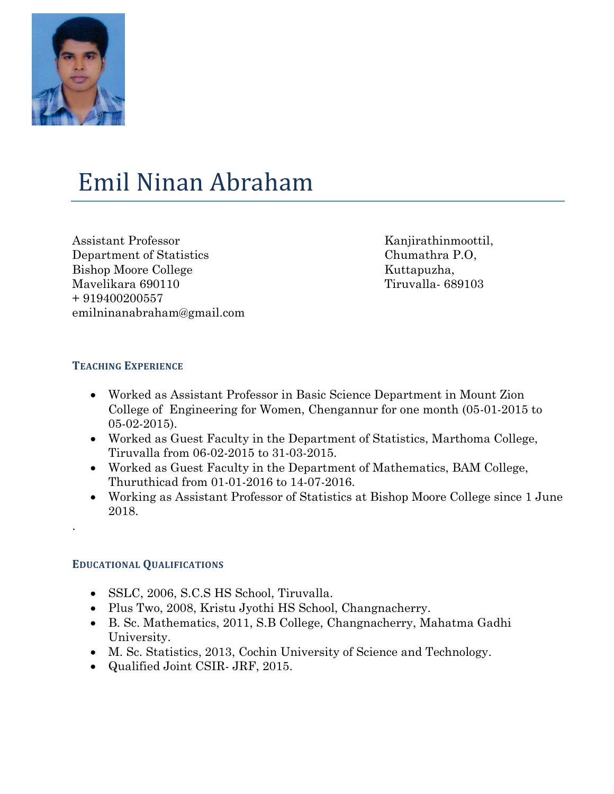

# Emil Ninan Abraham

Assistant Professor Department of Statistics Bishop Moore College Mavelikara 690110 + 919400200557 emilninanabraham@gmail.com Kanjirathinmoottil, Chumathra P.O, Kuttapuzha, Tiruvalla- 689103

# **TEACHING EXPERIENCE**

- Worked as Assistant Professor in Basic Science Department in Mount Zion College of Engineering for Women, Chengannur for one month (05-01-2015 to 05-02-2015).
- Worked as Guest Faculty in the Department of Statistics, Marthoma College, Tiruvalla from 06-02-2015 to 31-03-2015.
- Worked as Guest Faculty in the Department of Mathematics, BAM College, Thuruthicad from 01-01-2016 to 14-07-2016.
- Working as Assistant Professor of Statistics at Bishop Moore College since 1 June 2018.

# **EDUCATIONAL QUALIFICATIONS**

.

- SSLC, 2006, S.C.S HS School, Tiruvalla.
- Plus Two, 2008, Kristu Jyothi HS School, Changnacherry.
- B. Sc. Mathematics, 2011, S.B College, Changnacherry, Mahatma Gadhi University.
- M. Sc. Statistics, 2013, Cochin University of Science and Technology.
- Qualified Joint CSIR- JRF, 2015.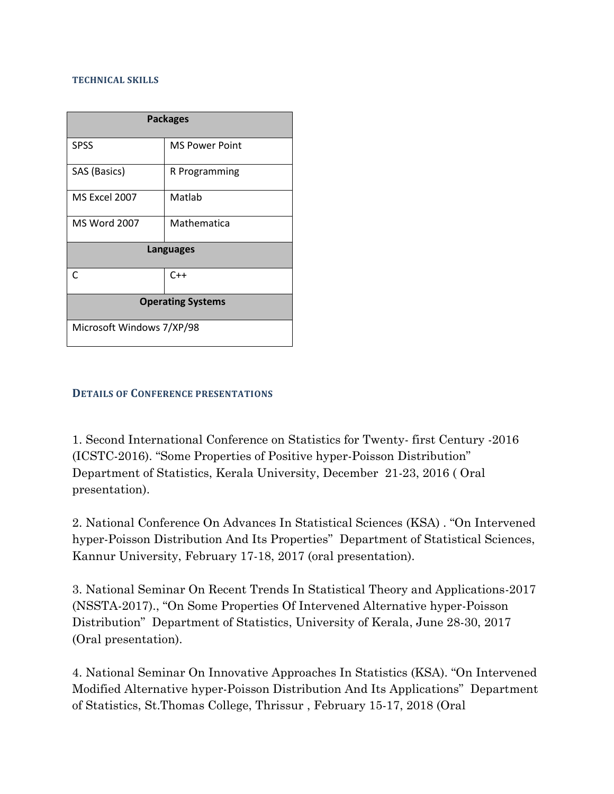#### **TECHNICAL SKILLS**

| <b>Packages</b>           |                       |
|---------------------------|-----------------------|
| <b>SPSS</b>               | <b>MS Power Point</b> |
| SAS (Basics)              | R Programming         |
| MS Excel 2007             | Matlab                |
| <b>MS Word 2007</b>       | Mathematica           |
| <b>Languages</b>          |                       |
| C                         | $C++$                 |
| <b>Operating Systems</b>  |                       |
| Microsoft Windows 7/XP/98 |                       |

#### **DETAILS OF CONFERENCE PRESENTATIONS**

1. Second International Conference on Statistics for Twenty- first Century -2016 (ICSTC-2016). "Some Properties of Positive hyper-Poisson Distribution" Department of Statistics, Kerala University, December 21-23, 2016 ( Oral presentation).

2. National Conference On Advances In Statistical Sciences (KSA) . "On Intervened hyper-Poisson Distribution And Its Properties" Department of Statistical Sciences, Kannur University, February 17-18, 2017 (oral presentation).

3. National Seminar On Recent Trends In Statistical Theory and Applications-2017 (NSSTA-2017)., "On Some Properties Of Intervened Alternative hyper-Poisson Distribution" Department of Statistics, University of Kerala, June 28-30, 2017 (Oral presentation).

4. National Seminar On Innovative Approaches In Statistics (KSA). "On Intervened Modified Alternative hyper-Poisson Distribution And Its Applications" Department of Statistics, St.Thomas College, Thrissur , February 15-17, 2018 (Oral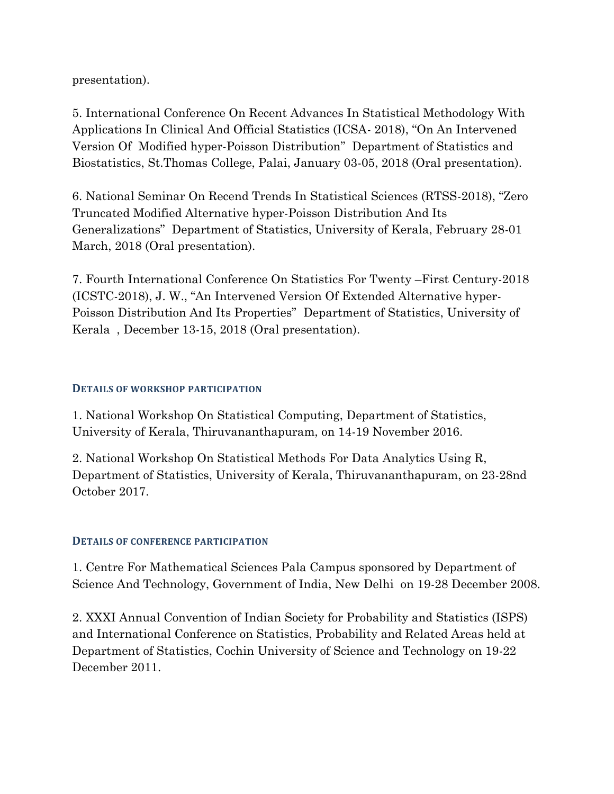presentation).

5. International Conference On Recent Advances In Statistical Methodology With Applications In Clinical And Official Statistics (ICSA- 2018), "On An Intervened Version Of Modified hyper-Poisson Distribution" Department of Statistics and Biostatistics, St.Thomas College, Palai, January 03-05, 2018 (Oral presentation).

6. National Seminar On Recend Trends In Statistical Sciences (RTSS-2018), "Zero Truncated Modified Alternative hyper-Poisson Distribution And Its Generalizations" Department of Statistics, University of Kerala, February 28-01 March, 2018 (Oral presentation).

7. Fourth International Conference On Statistics For Twenty –First Century-2018 (ICSTC-2018), J. W., "An Intervened Version Of Extended Alternative hyper-Poisson Distribution And Its Properties" Department of Statistics, University of Kerala , December 13-15, 2018 (Oral presentation).

## **DETAILS OF WORKSHOP PARTICIPATION**

1. National Workshop On Statistical Computing, Department of Statistics, University of Kerala, Thiruvananthapuram, on 14-19 November 2016.

2. National Workshop On Statistical Methods For Data Analytics Using R, Department of Statistics, University of Kerala, Thiruvananthapuram, on 23-28nd October 2017.

## **DETAILS OF CONFERENCE PARTICIPATION**

1. Centre For Mathematical Sciences Pala Campus sponsored by Department of Science And Technology, Government of India, New Delhi on 19-28 December 2008.

2. XXXI Annual Convention of Indian Society for Probability and Statistics (ISPS) and International Conference on Statistics, Probability and Related Areas held at Department of Statistics, Cochin University of Science and Technology on 19-22 December 2011.